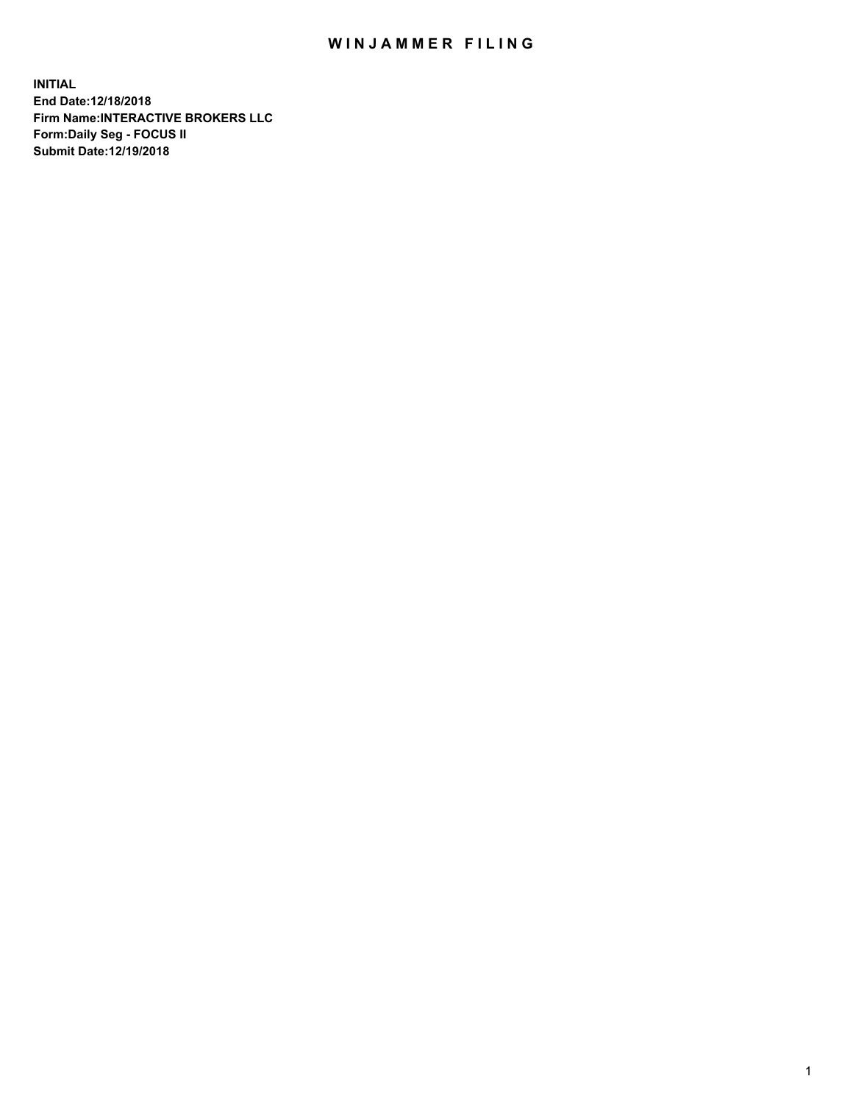## WIN JAMMER FILING

**INITIAL End Date:12/18/2018 Firm Name:INTERACTIVE BROKERS LLC Form:Daily Seg - FOCUS II Submit Date:12/19/2018**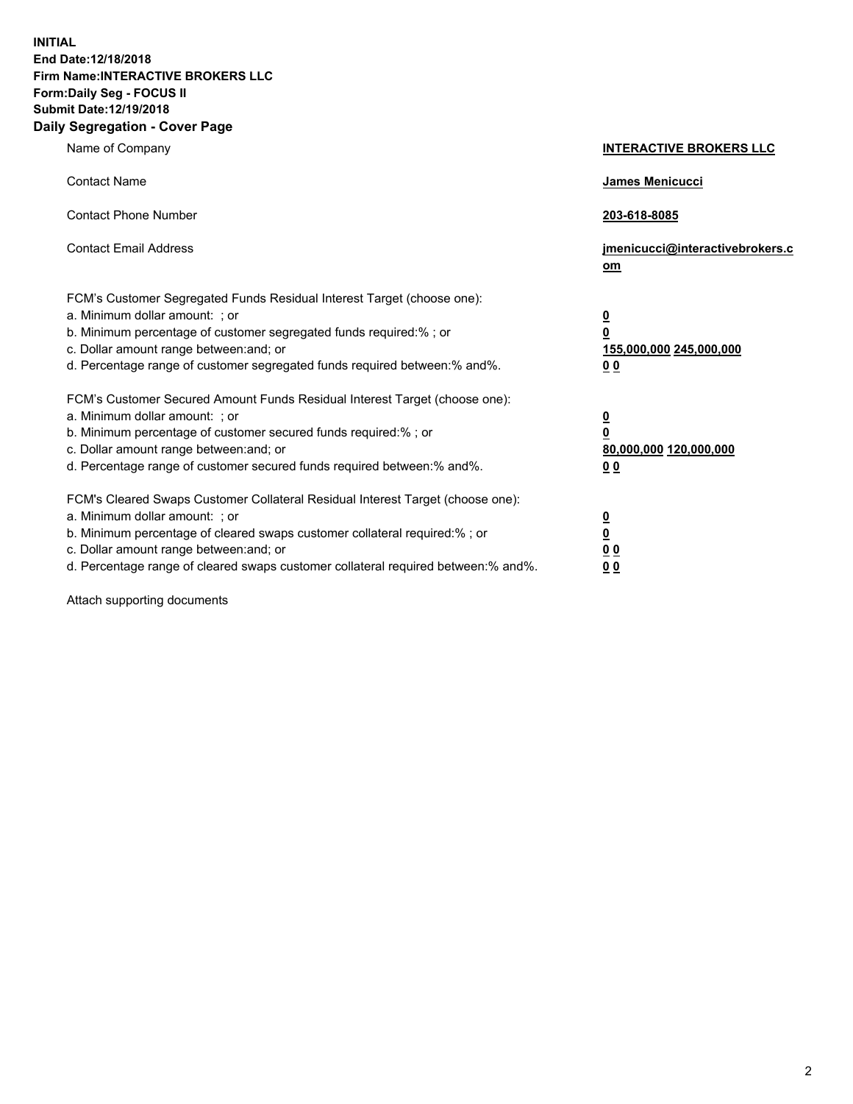**INITIAL End Date:12/18/2018 Firm Name:INTERACTIVE BROKERS LLC Form:Daily Seg - FOCUS II Submit Date:12/19/2018 Daily Segregation - Cover Page**

| Name of Company                                                                                                                                                                                                                                                                                                                | <b>INTERACTIVE BROKERS LLC</b>                                                                  |
|--------------------------------------------------------------------------------------------------------------------------------------------------------------------------------------------------------------------------------------------------------------------------------------------------------------------------------|-------------------------------------------------------------------------------------------------|
| <b>Contact Name</b>                                                                                                                                                                                                                                                                                                            | James Menicucci                                                                                 |
| <b>Contact Phone Number</b>                                                                                                                                                                                                                                                                                                    | 203-618-8085                                                                                    |
| <b>Contact Email Address</b>                                                                                                                                                                                                                                                                                                   | jmenicucci@interactivebrokers.c<br>om                                                           |
| FCM's Customer Segregated Funds Residual Interest Target (choose one):<br>a. Minimum dollar amount: ; or<br>b. Minimum percentage of customer segregated funds required:%; or<br>c. Dollar amount range between: and; or<br>d. Percentage range of customer segregated funds required between:% and%.                          | $\overline{\mathbf{0}}$<br>$\overline{\mathbf{0}}$<br>155,000,000 245,000,000<br>0 <sub>0</sub> |
| FCM's Customer Secured Amount Funds Residual Interest Target (choose one):<br>a. Minimum dollar amount: ; or<br>b. Minimum percentage of customer secured funds required:% ; or<br>c. Dollar amount range between: and; or<br>d. Percentage range of customer secured funds required between:% and%.                           | $\overline{\mathbf{0}}$<br>$\overline{\mathbf{0}}$<br>80,000,000 120,000,000<br>0 <sub>0</sub>  |
| FCM's Cleared Swaps Customer Collateral Residual Interest Target (choose one):<br>a. Minimum dollar amount: ; or<br>b. Minimum percentage of cleared swaps customer collateral required:% ; or<br>c. Dollar amount range between: and; or<br>d. Percentage range of cleared swaps customer collateral required between:% and%. | $\overline{\mathbf{0}}$<br>$\underline{\mathbf{0}}$<br>0 <sub>0</sub><br>0 <sub>0</sub>         |

Attach supporting documents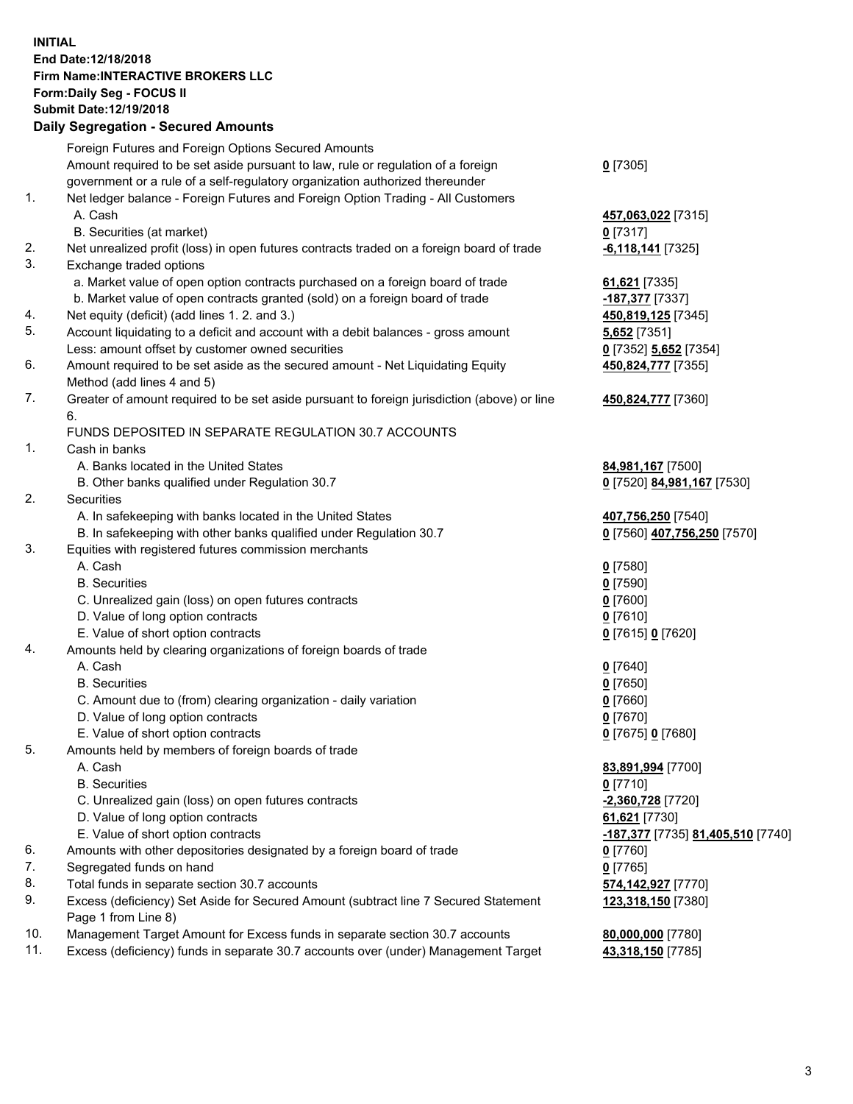## **INITIAL End Date:12/18/2018 Firm Name:INTERACTIVE BROKERS LLC Form:Daily Seg - FOCUS II Submit Date:12/19/2018 Daily Segregation - Secured Amounts**

|     | Daily Segregation - Secured Amounts                                                         |                                                 |
|-----|---------------------------------------------------------------------------------------------|-------------------------------------------------|
|     | Foreign Futures and Foreign Options Secured Amounts                                         |                                                 |
|     | Amount required to be set aside pursuant to law, rule or regulation of a foreign            | $0$ [7305]                                      |
|     | government or a rule of a self-regulatory organization authorized thereunder                |                                                 |
| 1.  | Net ledger balance - Foreign Futures and Foreign Option Trading - All Customers             |                                                 |
|     | A. Cash                                                                                     | 457,063,022 [7315]                              |
|     | B. Securities (at market)                                                                   | $0$ [7317]                                      |
| 2.  | Net unrealized profit (loss) in open futures contracts traded on a foreign board of trade   | $-6,118,141$ [7325]                             |
| 3.  | Exchange traded options                                                                     |                                                 |
|     | a. Market value of open option contracts purchased on a foreign board of trade              | 61,621 [7335]                                   |
|     | b. Market value of open contracts granted (sold) on a foreign board of trade                | -187,377 [7337]                                 |
| 4.  | Net equity (deficit) (add lines 1.2. and 3.)                                                | 450,819,125 [7345]                              |
| 5.  | Account liquidating to a deficit and account with a debit balances - gross amount           | 5,652 [7351]                                    |
|     | Less: amount offset by customer owned securities                                            | 0 [7352] 5,652 [7354]                           |
| 6.  | Amount required to be set aside as the secured amount - Net Liquidating Equity              | 450,824,777 [7355]                              |
|     | Method (add lines 4 and 5)                                                                  |                                                 |
| 7.  | Greater of amount required to be set aside pursuant to foreign jurisdiction (above) or line | 450,824,777 [7360]                              |
|     | 6.                                                                                          |                                                 |
|     | FUNDS DEPOSITED IN SEPARATE REGULATION 30.7 ACCOUNTS                                        |                                                 |
| 1.  | Cash in banks                                                                               |                                                 |
|     | A. Banks located in the United States                                                       | 84,981,167 [7500]                               |
|     | B. Other banks qualified under Regulation 30.7                                              | 0 [7520] 84,981,167 [7530]                      |
| 2.  | Securities                                                                                  |                                                 |
|     | A. In safekeeping with banks located in the United States                                   | 407,756,250 [7540]                              |
|     | B. In safekeeping with other banks qualified under Regulation 30.7                          | 0 [7560] 407,756,250 [7570]                     |
| 3.  | Equities with registered futures commission merchants                                       |                                                 |
|     | A. Cash                                                                                     | $0$ [7580]                                      |
|     | <b>B.</b> Securities                                                                        | $0$ [7590]                                      |
|     | C. Unrealized gain (loss) on open futures contracts                                         | $0$ [7600]                                      |
|     | D. Value of long option contracts                                                           | $0$ [7610]                                      |
|     | E. Value of short option contracts                                                          | 0 [7615] 0 [7620]                               |
| 4.  | Amounts held by clearing organizations of foreign boards of trade                           |                                                 |
|     | A. Cash                                                                                     | $0$ [7640]                                      |
|     | <b>B.</b> Securities                                                                        | $0$ [7650]                                      |
|     | C. Amount due to (from) clearing organization - daily variation                             | $0$ [7660]                                      |
|     | D. Value of long option contracts                                                           | $0$ [7670]                                      |
|     | E. Value of short option contracts                                                          | 0 [7675] 0 [7680]                               |
| 5.  | Amounts held by members of foreign boards of trade                                          |                                                 |
|     | A. Cash                                                                                     | 83,891,994 [7700]                               |
|     | <b>B.</b> Securities                                                                        | $0$ [7710]                                      |
|     | C. Unrealized gain (loss) on open futures contracts                                         | -2,360,728 [7720]                               |
|     | D. Value of long option contracts                                                           | 61,621 [7730]                                   |
|     | E. Value of short option contracts                                                          | <u>-187,377</u> [7735] <u>81,405,510</u> [7740] |
| 6.  | Amounts with other depositories designated by a foreign board of trade                      | $0$ [7760]                                      |
| 7.  | Segregated funds on hand                                                                    | $0$ [7765]                                      |
| 8.  | Total funds in separate section 30.7 accounts                                               | 574,142,927 [7770]                              |
| 9.  | Excess (deficiency) Set Aside for Secured Amount (subtract line 7 Secured Statement         | 123,318,150 [7380]                              |
|     | Page 1 from Line 8)                                                                         |                                                 |
| 10. | Management Target Amount for Excess funds in separate section 30.7 accounts                 | 80,000,000 [7780]                               |
| 11. | Excess (deficiency) funds in separate 30.7 accounts over (under) Management Target          | 43,318,150 [7785]                               |
|     |                                                                                             |                                                 |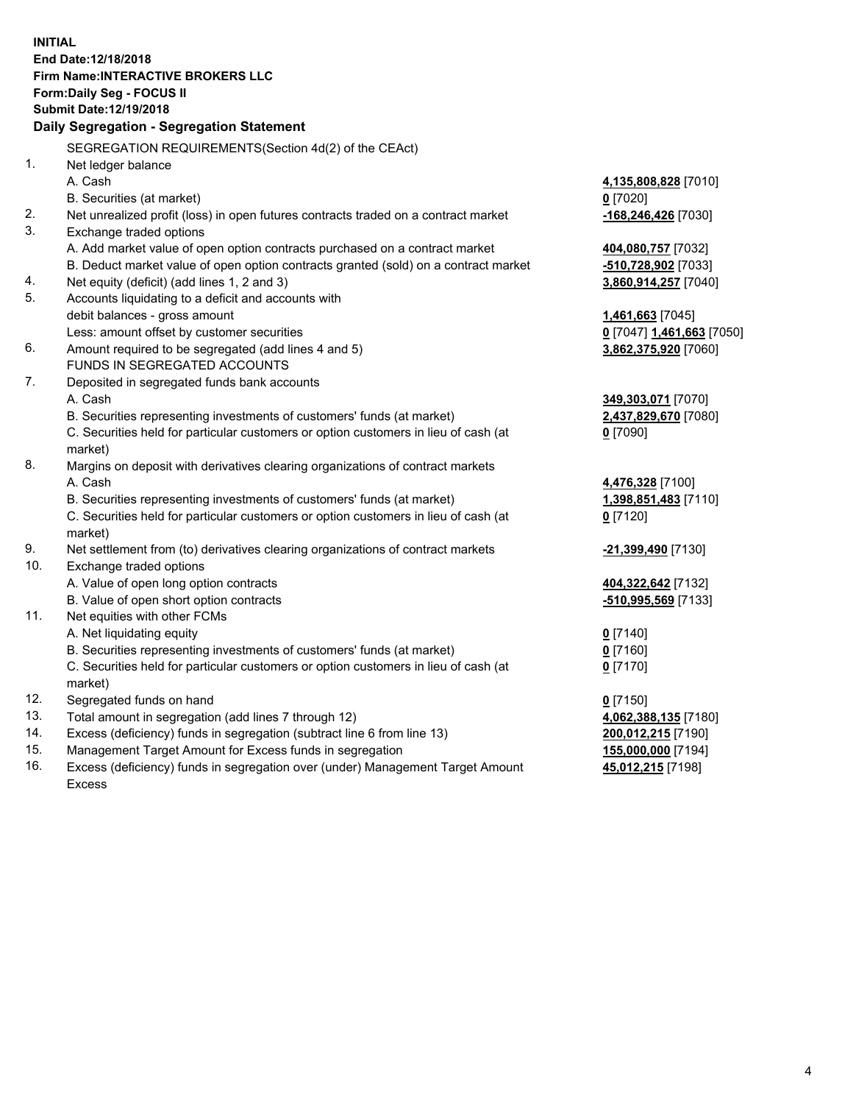**INITIAL End Date:12/18/2018 Firm Name:INTERACTIVE BROKERS LLC Form:Daily Seg - FOCUS II Submit Date:12/19/2018 Daily Segregation - Segregation Statement** SEGREGATION REQUIREMENTS(Section 4d(2) of the CEAct) 1. Net ledger balance A. Cash **4,135,808,828** [7010] B. Securities (at market) **0** [7020] 2. Net unrealized profit (loss) in open futures contracts traded on a contract market **-168,246,426** [7030] 3. Exchange traded options A. Add market value of open option contracts purchased on a contract market **404,080,757** [7032] B. Deduct market value of open option contracts granted (sold) on a contract market **-510,728,902** [7033] 4. Net equity (deficit) (add lines 1, 2 and 3) **3,860,914,257** [7040] 5. Accounts liquidating to a deficit and accounts with debit balances - gross amount **1,461,663** [7045] Less: amount offset by customer securities **0** [7047] **1,461,663** [7050] 6. Amount required to be segregated (add lines 4 and 5) **3,862,375,920** [7060] FUNDS IN SEGREGATED ACCOUNTS 7. Deposited in segregated funds bank accounts A. Cash **349,303,071** [7070] B. Securities representing investments of customers' funds (at market) **2,437,829,670** [7080] C. Securities held for particular customers or option customers in lieu of cash (at market) **0** [7090] 8. Margins on deposit with derivatives clearing organizations of contract markets A. Cash **4,476,328** [7100] B. Securities representing investments of customers' funds (at market) **1,398,851,483** [7110] C. Securities held for particular customers or option customers in lieu of cash (at market) **0** [7120] 9. Net settlement from (to) derivatives clearing organizations of contract markets **-21,399,490** [7130] 10. Exchange traded options A. Value of open long option contracts **404,322,642** [7132] B. Value of open short option contracts **-510,995,569** [7133] 11. Net equities with other FCMs A. Net liquidating equity **0** [7140] B. Securities representing investments of customers' funds (at market) **0** [7160] C. Securities held for particular customers or option customers in lieu of cash (at market) **0** [7170] 12. Segregated funds on hand **0** [7150] 13. Total amount in segregation (add lines 7 through 12) **4,062,388,135** [7180] 14. Excess (deficiency) funds in segregation (subtract line 6 from line 13) **200,012,215** [7190] 15. Management Target Amount for Excess funds in segregation **155,000,000** [7194]

16. Excess (deficiency) funds in segregation over (under) Management Target Amount Excess

**45,012,215** [7198]